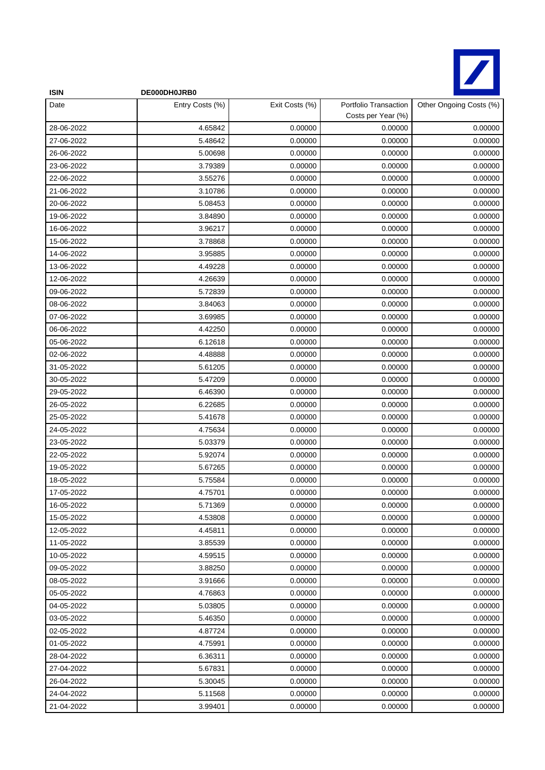

| <b>ISIN</b> | DE000DH0JRB0    |                |                                             |                         |
|-------------|-----------------|----------------|---------------------------------------------|-------------------------|
| Date        | Entry Costs (%) | Exit Costs (%) | Portfolio Transaction<br>Costs per Year (%) | Other Ongoing Costs (%) |
| 28-06-2022  | 4.65842         | 0.00000        | 0.00000                                     | 0.00000                 |
| 27-06-2022  | 5.48642         | 0.00000        | 0.00000                                     | 0.00000                 |
| 26-06-2022  | 5.00698         | 0.00000        | 0.00000                                     | 0.00000                 |
| 23-06-2022  | 3.79389         | 0.00000        | 0.00000                                     | 0.00000                 |
| 22-06-2022  | 3.55276         | 0.00000        | 0.00000                                     | 0.00000                 |
| 21-06-2022  | 3.10786         | 0.00000        | 0.00000                                     | 0.00000                 |
| 20-06-2022  | 5.08453         | 0.00000        | 0.00000                                     | 0.00000                 |
| 19-06-2022  | 3.84890         | 0.00000        | 0.00000                                     | 0.00000                 |
| 16-06-2022  | 3.96217         | 0.00000        | 0.00000                                     | 0.00000                 |
| 15-06-2022  | 3.78868         | 0.00000        | 0.00000                                     | 0.00000                 |
| 14-06-2022  | 3.95885         | 0.00000        | 0.00000                                     | 0.00000                 |
| 13-06-2022  | 4.49228         | 0.00000        | 0.00000                                     | 0.00000                 |
| 12-06-2022  | 4.26639         | 0.00000        | 0.00000                                     | 0.00000                 |
| 09-06-2022  | 5.72839         | 0.00000        | 0.00000                                     | 0.00000                 |
| 08-06-2022  | 3.84063         | 0.00000        | 0.00000                                     | 0.00000                 |
| 07-06-2022  | 3.69985         | 0.00000        | 0.00000                                     | 0.00000                 |
| 06-06-2022  | 4.42250         | 0.00000        | 0.00000                                     | 0.00000                 |
| 05-06-2022  | 6.12618         | 0.00000        | 0.00000                                     | 0.00000                 |
| 02-06-2022  | 4.48888         | 0.00000        | 0.00000                                     | 0.00000                 |
| 31-05-2022  | 5.61205         | 0.00000        | 0.00000                                     | 0.00000                 |
| 30-05-2022  | 5.47209         | 0.00000        | 0.00000                                     | 0.00000                 |
| 29-05-2022  | 6.46390         | 0.00000        | 0.00000                                     | 0.00000                 |
| 26-05-2022  | 6.22685         | 0.00000        | 0.00000                                     | 0.00000                 |
| 25-05-2022  | 5.41678         | 0.00000        | 0.00000                                     | 0.00000                 |
| 24-05-2022  | 4.75634         | 0.00000        | 0.00000                                     | 0.00000                 |
| 23-05-2022  | 5.03379         | 0.00000        | 0.00000                                     | 0.00000                 |
| 22-05-2022  | 5.92074         | 0.00000        | 0.00000                                     | 0.00000                 |
| 19-05-2022  | 5.67265         | 0.00000        | 0.00000                                     | 0.00000                 |
| 18-05-2022  | 5.75584         | 0.00000        | 0.00000                                     | 0.00000                 |
| 17-05-2022  | 4.75701         | 0.00000        | 0.00000                                     | 0.00000                 |
| 16-05-2022  | 5.71369         | 0.00000        | 0.00000                                     | 0.00000                 |
| 15-05-2022  | 4.53808         | 0.00000        | 0.00000                                     | 0.00000                 |
| 12-05-2022  | 4.45811         | 0.00000        | 0.00000                                     | 0.00000                 |
| 11-05-2022  | 3.85539         | 0.00000        | 0.00000                                     | 0.00000                 |
| 10-05-2022  | 4.59515         | 0.00000        | 0.00000                                     | 0.00000                 |
| 09-05-2022  | 3.88250         | 0.00000        | 0.00000                                     | 0.00000                 |
| 08-05-2022  | 3.91666         | 0.00000        | 0.00000                                     | 0.00000                 |
| 05-05-2022  | 4.76863         | 0.00000        | 0.00000                                     | 0.00000                 |
| 04-05-2022  | 5.03805         | 0.00000        | 0.00000                                     | 0.00000                 |
| 03-05-2022  | 5.46350         | 0.00000        | 0.00000                                     | 0.00000                 |
| 02-05-2022  | 4.87724         | 0.00000        | 0.00000                                     | 0.00000                 |
| 01-05-2022  | 4.75991         | 0.00000        | 0.00000                                     | 0.00000                 |
| 28-04-2022  | 6.36311         | 0.00000        | 0.00000                                     | 0.00000                 |
| 27-04-2022  | 5.67831         | 0.00000        | 0.00000                                     | 0.00000                 |
| 26-04-2022  | 5.30045         | 0.00000        | 0.00000                                     | 0.00000                 |
| 24-04-2022  | 5.11568         | 0.00000        | 0.00000                                     | 0.00000                 |
| 21-04-2022  | 3.99401         | 0.00000        | 0.00000                                     | 0.00000                 |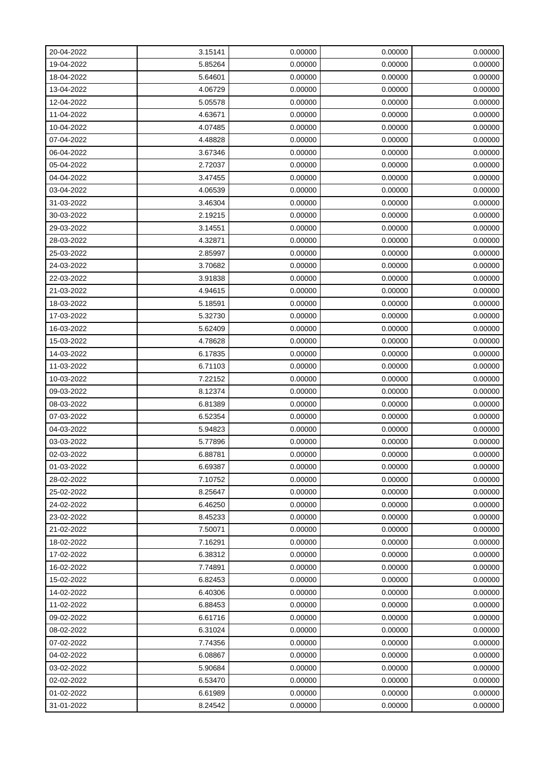| 20-04-2022 | 3.15141 | 0.00000 | 0.00000 | 0.00000 |
|------------|---------|---------|---------|---------|
| 19-04-2022 | 5.85264 | 0.00000 | 0.00000 | 0.00000 |
| 18-04-2022 | 5.64601 | 0.00000 | 0.00000 | 0.00000 |
| 13-04-2022 | 4.06729 | 0.00000 | 0.00000 | 0.00000 |
| 12-04-2022 | 5.05578 | 0.00000 | 0.00000 | 0.00000 |
| 11-04-2022 | 4.63671 | 0.00000 | 0.00000 | 0.00000 |
| 10-04-2022 | 4.07485 | 0.00000 | 0.00000 | 0.00000 |
| 07-04-2022 | 4.48828 | 0.00000 | 0.00000 | 0.00000 |
| 06-04-2022 | 3.67346 | 0.00000 | 0.00000 | 0.00000 |
| 05-04-2022 | 2.72037 | 0.00000 | 0.00000 | 0.00000 |
| 04-04-2022 | 3.47455 | 0.00000 | 0.00000 | 0.00000 |
| 03-04-2022 | 4.06539 | 0.00000 | 0.00000 | 0.00000 |
| 31-03-2022 | 3.46304 | 0.00000 | 0.00000 | 0.00000 |
| 30-03-2022 | 2.19215 | 0.00000 | 0.00000 | 0.00000 |
| 29-03-2022 | 3.14551 | 0.00000 | 0.00000 | 0.00000 |
| 28-03-2022 | 4.32871 | 0.00000 | 0.00000 | 0.00000 |
| 25-03-2022 | 2.85997 | 0.00000 | 0.00000 | 0.00000 |
| 24-03-2022 | 3.70682 | 0.00000 | 0.00000 | 0.00000 |
| 22-03-2022 | 3.91838 | 0.00000 | 0.00000 | 0.00000 |
| 21-03-2022 | 4.94615 | 0.00000 | 0.00000 | 0.00000 |
| 18-03-2022 | 5.18591 | 0.00000 | 0.00000 | 0.00000 |
| 17-03-2022 | 5.32730 | 0.00000 | 0.00000 | 0.00000 |
| 16-03-2022 | 5.62409 | 0.00000 | 0.00000 | 0.00000 |
| 15-03-2022 | 4.78628 | 0.00000 | 0.00000 | 0.00000 |
| 14-03-2022 | 6.17835 | 0.00000 | 0.00000 | 0.00000 |
| 11-03-2022 | 6.71103 | 0.00000 | 0.00000 | 0.00000 |
| 10-03-2022 | 7.22152 | 0.00000 | 0.00000 | 0.00000 |
| 09-03-2022 | 8.12374 | 0.00000 | 0.00000 | 0.00000 |
| 08-03-2022 | 6.81389 | 0.00000 | 0.00000 | 0.00000 |
| 07-03-2022 | 6.52354 | 0.00000 | 0.00000 | 0.00000 |
| 04-03-2022 | 5.94823 | 0.00000 | 0.00000 | 0.00000 |
| 03-03-2022 | 5.77896 | 0.00000 | 0.00000 | 0.00000 |
| 02-03-2022 | 6.88781 | 0.00000 | 0.00000 | 0.00000 |
| 01-03-2022 | 6.69387 | 0.00000 | 0.00000 | 0.00000 |
| 28-02-2022 | 7.10752 | 0.00000 | 0.00000 | 0.00000 |
| 25-02-2022 | 8.25647 | 0.00000 | 0.00000 | 0.00000 |
| 24-02-2022 | 6.46250 | 0.00000 | 0.00000 | 0.00000 |
| 23-02-2022 | 8.45233 | 0.00000 | 0.00000 | 0.00000 |
| 21-02-2022 | 7.50071 | 0.00000 | 0.00000 | 0.00000 |
| 18-02-2022 | 7.16291 | 0.00000 | 0.00000 | 0.00000 |
| 17-02-2022 | 6.38312 | 0.00000 | 0.00000 | 0.00000 |
| 16-02-2022 | 7.74891 | 0.00000 | 0.00000 | 0.00000 |
| 15-02-2022 | 6.82453 | 0.00000 | 0.00000 | 0.00000 |
| 14-02-2022 | 6.40306 | 0.00000 | 0.00000 | 0.00000 |
| 11-02-2022 | 6.88453 | 0.00000 | 0.00000 | 0.00000 |
| 09-02-2022 | 6.61716 | 0.00000 | 0.00000 | 0.00000 |
| 08-02-2022 | 6.31024 | 0.00000 | 0.00000 | 0.00000 |
| 07-02-2022 | 7.74356 | 0.00000 | 0.00000 | 0.00000 |
| 04-02-2022 | 6.08867 | 0.00000 | 0.00000 | 0.00000 |
| 03-02-2022 | 5.90684 | 0.00000 | 0.00000 | 0.00000 |
| 02-02-2022 | 6.53470 | 0.00000 | 0.00000 | 0.00000 |
| 01-02-2022 | 6.61989 | 0.00000 | 0.00000 | 0.00000 |
| 31-01-2022 | 8.24542 | 0.00000 | 0.00000 | 0.00000 |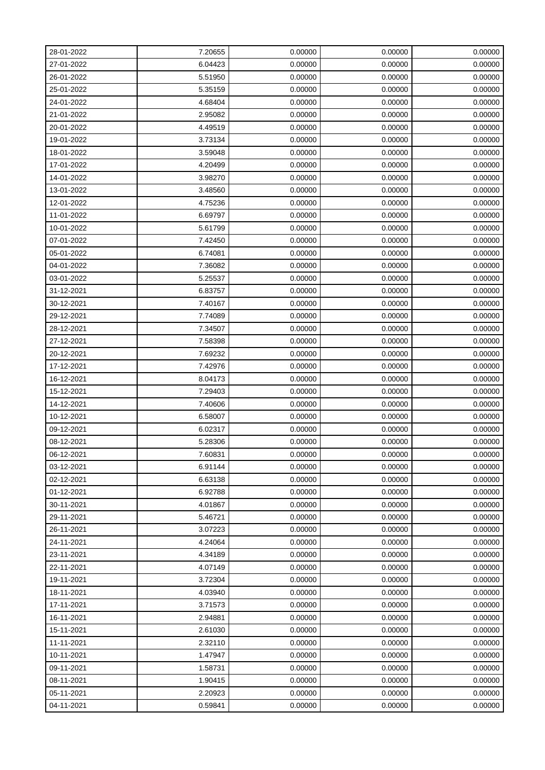| 28-01-2022 | 7.20655 | 0.00000 | 0.00000 | 0.00000 |
|------------|---------|---------|---------|---------|
| 27-01-2022 | 6.04423 | 0.00000 | 0.00000 | 0.00000 |
| 26-01-2022 | 5.51950 | 0.00000 | 0.00000 | 0.00000 |
| 25-01-2022 | 5.35159 | 0.00000 | 0.00000 | 0.00000 |
| 24-01-2022 | 4.68404 | 0.00000 | 0.00000 | 0.00000 |
| 21-01-2022 | 2.95082 | 0.00000 | 0.00000 | 0.00000 |
| 20-01-2022 | 4.49519 | 0.00000 | 0.00000 | 0.00000 |
| 19-01-2022 | 3.73134 | 0.00000 | 0.00000 | 0.00000 |
| 18-01-2022 | 3.59048 | 0.00000 | 0.00000 | 0.00000 |
| 17-01-2022 | 4.20499 | 0.00000 | 0.00000 | 0.00000 |
| 14-01-2022 | 3.98270 | 0.00000 | 0.00000 | 0.00000 |
| 13-01-2022 | 3.48560 | 0.00000 | 0.00000 | 0.00000 |
| 12-01-2022 | 4.75236 | 0.00000 | 0.00000 | 0.00000 |
| 11-01-2022 | 6.69797 | 0.00000 | 0.00000 | 0.00000 |
| 10-01-2022 | 5.61799 | 0.00000 | 0.00000 | 0.00000 |
| 07-01-2022 | 7.42450 | 0.00000 | 0.00000 | 0.00000 |
| 05-01-2022 | 6.74081 | 0.00000 | 0.00000 | 0.00000 |
| 04-01-2022 | 7.36082 | 0.00000 | 0.00000 | 0.00000 |
| 03-01-2022 | 5.25537 | 0.00000 | 0.00000 | 0.00000 |
| 31-12-2021 | 6.83757 | 0.00000 | 0.00000 | 0.00000 |
| 30-12-2021 | 7.40167 | 0.00000 | 0.00000 | 0.00000 |
| 29-12-2021 | 7.74089 | 0.00000 | 0.00000 | 0.00000 |
| 28-12-2021 | 7.34507 | 0.00000 | 0.00000 | 0.00000 |
| 27-12-2021 | 7.58398 | 0.00000 | 0.00000 | 0.00000 |
| 20-12-2021 | 7.69232 | 0.00000 | 0.00000 | 0.00000 |
| 17-12-2021 | 7.42976 | 0.00000 | 0.00000 | 0.00000 |
| 16-12-2021 | 8.04173 | 0.00000 | 0.00000 | 0.00000 |
| 15-12-2021 | 7.29403 | 0.00000 | 0.00000 | 0.00000 |
| 14-12-2021 | 7.40606 | 0.00000 | 0.00000 | 0.00000 |
| 10-12-2021 | 6.58007 | 0.00000 | 0.00000 | 0.00000 |
| 09-12-2021 | 6.02317 | 0.00000 | 0.00000 | 0.00000 |
| 08-12-2021 | 5.28306 | 0.00000 | 0.00000 | 0.00000 |
| 06-12-2021 | 7.60831 | 0.00000 | 0.00000 | 0.00000 |
| 03-12-2021 | 6.91144 | 0.00000 | 0.00000 | 0.00000 |
| 02-12-2021 | 6.63138 | 0.00000 | 0.00000 | 0.00000 |
| 01-12-2021 | 6.92788 | 0.00000 | 0.00000 | 0.00000 |
| 30-11-2021 | 4.01867 | 0.00000 | 0.00000 | 0.00000 |
| 29-11-2021 | 5.46721 | 0.00000 | 0.00000 | 0.00000 |
| 26-11-2021 | 3.07223 | 0.00000 | 0.00000 | 0.00000 |
| 24-11-2021 | 4.24064 | 0.00000 | 0.00000 | 0.00000 |
| 23-11-2021 | 4.34189 | 0.00000 | 0.00000 | 0.00000 |
| 22-11-2021 | 4.07149 | 0.00000 | 0.00000 | 0.00000 |
| 19-11-2021 | 3.72304 | 0.00000 | 0.00000 | 0.00000 |
| 18-11-2021 | 4.03940 | 0.00000 | 0.00000 | 0.00000 |
| 17-11-2021 | 3.71573 | 0.00000 | 0.00000 | 0.00000 |
| 16-11-2021 | 2.94881 | 0.00000 | 0.00000 | 0.00000 |
| 15-11-2021 | 2.61030 | 0.00000 | 0.00000 | 0.00000 |
| 11-11-2021 | 2.32110 | 0.00000 | 0.00000 | 0.00000 |
| 10-11-2021 | 1.47947 | 0.00000 | 0.00000 | 0.00000 |
| 09-11-2021 | 1.58731 | 0.00000 | 0.00000 | 0.00000 |
| 08-11-2021 | 1.90415 | 0.00000 | 0.00000 | 0.00000 |
| 05-11-2021 | 2.20923 | 0.00000 | 0.00000 | 0.00000 |
| 04-11-2021 | 0.59841 | 0.00000 | 0.00000 | 0.00000 |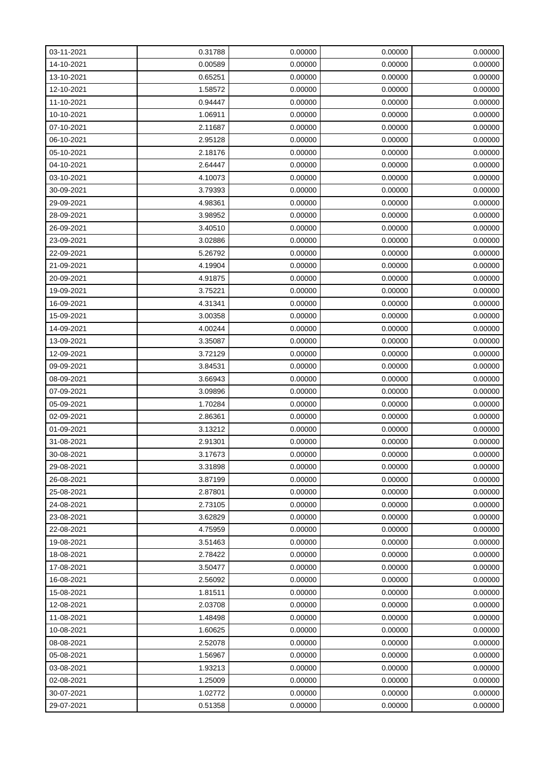| 03-11-2021 | 0.31788 | 0.00000 | 0.00000 | 0.00000 |
|------------|---------|---------|---------|---------|
| 14-10-2021 | 0.00589 | 0.00000 | 0.00000 | 0.00000 |
| 13-10-2021 | 0.65251 | 0.00000 | 0.00000 | 0.00000 |
| 12-10-2021 | 1.58572 | 0.00000 | 0.00000 | 0.00000 |
| 11-10-2021 | 0.94447 | 0.00000 | 0.00000 | 0.00000 |
| 10-10-2021 | 1.06911 | 0.00000 | 0.00000 | 0.00000 |
| 07-10-2021 | 2.11687 | 0.00000 | 0.00000 | 0.00000 |
| 06-10-2021 | 2.95128 | 0.00000 | 0.00000 | 0.00000 |
| 05-10-2021 | 2.18176 | 0.00000 | 0.00000 | 0.00000 |
| 04-10-2021 | 2.64447 | 0.00000 | 0.00000 | 0.00000 |
| 03-10-2021 | 4.10073 | 0.00000 | 0.00000 | 0.00000 |
| 30-09-2021 | 3.79393 | 0.00000 | 0.00000 | 0.00000 |
| 29-09-2021 | 4.98361 | 0.00000 | 0.00000 | 0.00000 |
| 28-09-2021 | 3.98952 | 0.00000 | 0.00000 | 0.00000 |
| 26-09-2021 | 3.40510 | 0.00000 | 0.00000 | 0.00000 |
| 23-09-2021 | 3.02886 | 0.00000 | 0.00000 | 0.00000 |
| 22-09-2021 | 5.26792 | 0.00000 | 0.00000 | 0.00000 |
| 21-09-2021 | 4.19904 | 0.00000 | 0.00000 | 0.00000 |
| 20-09-2021 | 4.91875 | 0.00000 | 0.00000 | 0.00000 |
| 19-09-2021 | 3.75221 | 0.00000 | 0.00000 | 0.00000 |
| 16-09-2021 | 4.31341 | 0.00000 | 0.00000 | 0.00000 |
| 15-09-2021 | 3.00358 | 0.00000 | 0.00000 | 0.00000 |
| 14-09-2021 | 4.00244 | 0.00000 | 0.00000 | 0.00000 |
| 13-09-2021 | 3.35087 | 0.00000 | 0.00000 | 0.00000 |
| 12-09-2021 | 3.72129 | 0.00000 | 0.00000 | 0.00000 |
| 09-09-2021 | 3.84531 | 0.00000 | 0.00000 | 0.00000 |
| 08-09-2021 | 3.66943 | 0.00000 | 0.00000 | 0.00000 |
| 07-09-2021 | 3.09896 | 0.00000 | 0.00000 | 0.00000 |
| 05-09-2021 | 1.70284 | 0.00000 | 0.00000 | 0.00000 |
| 02-09-2021 | 2.86361 | 0.00000 | 0.00000 | 0.00000 |
| 01-09-2021 | 3.13212 | 0.00000 | 0.00000 | 0.00000 |
| 31-08-2021 | 2.91301 | 0.00000 | 0.00000 | 0.00000 |
| 30-08-2021 | 3.17673 | 0.00000 | 0.00000 | 0.00000 |
| 29-08-2021 | 3.31898 | 0.00000 | 0.00000 | 0.00000 |
| 26-08-2021 | 3.87199 | 0.00000 | 0.00000 | 0.00000 |
| 25-08-2021 | 2.87801 | 0.00000 | 0.00000 | 0.00000 |
| 24-08-2021 | 2.73105 | 0.00000 | 0.00000 | 0.00000 |
| 23-08-2021 | 3.62829 | 0.00000 | 0.00000 | 0.00000 |
| 22-08-2021 | 4.75959 | 0.00000 | 0.00000 | 0.00000 |
| 19-08-2021 | 3.51463 | 0.00000 | 0.00000 | 0.00000 |
| 18-08-2021 | 2.78422 | 0.00000 | 0.00000 | 0.00000 |
| 17-08-2021 | 3.50477 | 0.00000 | 0.00000 | 0.00000 |
| 16-08-2021 | 2.56092 | 0.00000 | 0.00000 | 0.00000 |
| 15-08-2021 | 1.81511 | 0.00000 | 0.00000 | 0.00000 |
| 12-08-2021 | 2.03708 | 0.00000 | 0.00000 | 0.00000 |
| 11-08-2021 | 1.48498 | 0.00000 | 0.00000 | 0.00000 |
| 10-08-2021 | 1.60625 | 0.00000 | 0.00000 | 0.00000 |
| 08-08-2021 | 2.52078 | 0.00000 | 0.00000 | 0.00000 |
| 05-08-2021 | 1.56967 | 0.00000 | 0.00000 | 0.00000 |
| 03-08-2021 | 1.93213 | 0.00000 | 0.00000 | 0.00000 |
| 02-08-2021 | 1.25009 | 0.00000 | 0.00000 | 0.00000 |
| 30-07-2021 | 1.02772 | 0.00000 | 0.00000 | 0.00000 |
| 29-07-2021 | 0.51358 | 0.00000 | 0.00000 | 0.00000 |